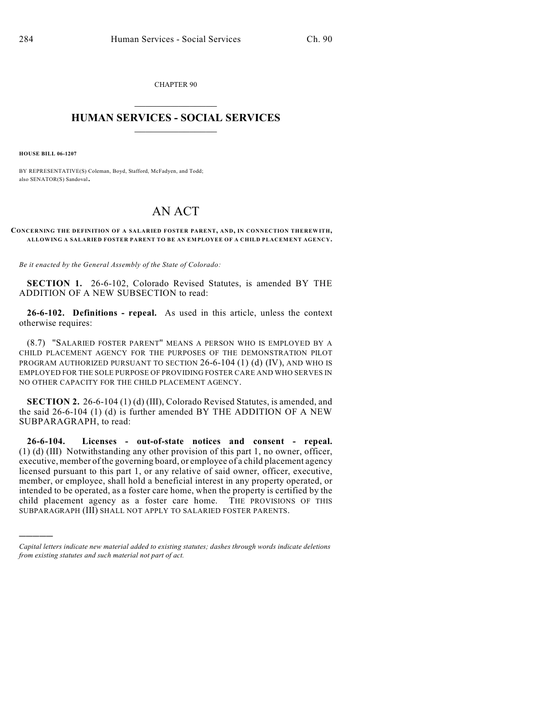CHAPTER 90  $\mathcal{L}_\text{max}$  . The set of the set of the set of the set of the set of the set of the set of the set of the set of the set of the set of the set of the set of the set of the set of the set of the set of the set of the set

## **HUMAN SERVICES - SOCIAL SERVICES**  $\frac{1}{2}$  ,  $\frac{1}{2}$  ,  $\frac{1}{2}$  ,  $\frac{1}{2}$  ,  $\frac{1}{2}$  ,  $\frac{1}{2}$  ,  $\frac{1}{2}$

**HOUSE BILL 06-1207**

)))))

BY REPRESENTATIVE(S) Coleman, Boyd, Stafford, McFadyen, and Todd; also SENATOR(S) Sandoval.

## AN ACT

## **CONCERNING THE DEFINITION OF A SALARIED FOSTER PARENT, AND, IN CONNECTION THEREWITH, ALLOWING A SALARIED FOSTER PARENT TO BE AN EMPLOYEE OF A CHILD PLACEMENT AGENCY.**

*Be it enacted by the General Assembly of the State of Colorado:*

**SECTION 1.** 26-6-102, Colorado Revised Statutes, is amended BY THE ADDITION OF A NEW SUBSECTION to read:

**26-6-102. Definitions - repeal.** As used in this article, unless the context otherwise requires:

(8.7) "SALARIED FOSTER PARENT" MEANS A PERSON WHO IS EMPLOYED BY A CHILD PLACEMENT AGENCY FOR THE PURPOSES OF THE DEMONSTRATION PILOT PROGRAM AUTHORIZED PURSUANT TO SECTION 26-6-104 (1) (d) (IV), AND WHO IS EMPLOYED FOR THE SOLE PURPOSE OF PROVIDING FOSTER CARE AND WHO SERVES IN NO OTHER CAPACITY FOR THE CHILD PLACEMENT AGENCY.

**SECTION 2.** 26-6-104 (1) (d) (III), Colorado Revised Statutes, is amended, and the said 26-6-104 (1) (d) is further amended BY THE ADDITION OF A NEW SUBPARAGRAPH, to read:

**26-6-104. Licenses - out-of-state notices and consent - repeal.** (1) (d) (III) Notwithstanding any other provision of this part 1, no owner, officer, executive, member of the governing board, or employee of a child placement agency licensed pursuant to this part 1, or any relative of said owner, officer, executive, member, or employee, shall hold a beneficial interest in any property operated, or intended to be operated, as a foster care home, when the property is certified by the child placement agency as a foster care home. THE PROVISIONS OF THIS SUBPARAGRAPH (III) SHALL NOT APPLY TO SALARIED FOSTER PARENTS.

*Capital letters indicate new material added to existing statutes; dashes through words indicate deletions from existing statutes and such material not part of act.*